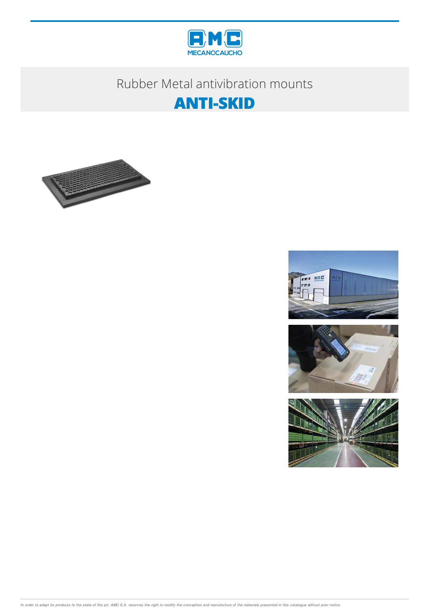

# Rubber Metal antivibration mounts







In order to adapt its products to the state of the art, AMC S.A. reserves the right to modify the conception and manufacture of the materials presented in this catalogue without prior notice.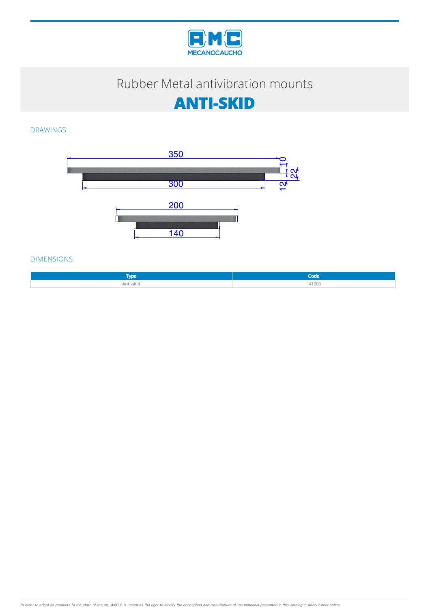

# Rubber Metal antivibration mounts



### DRAWINGS



#### DIMENSIONS

| <b>Type</b>    | .      |
|----------------|--------|
| Anti-skid<br>. | 141003 |